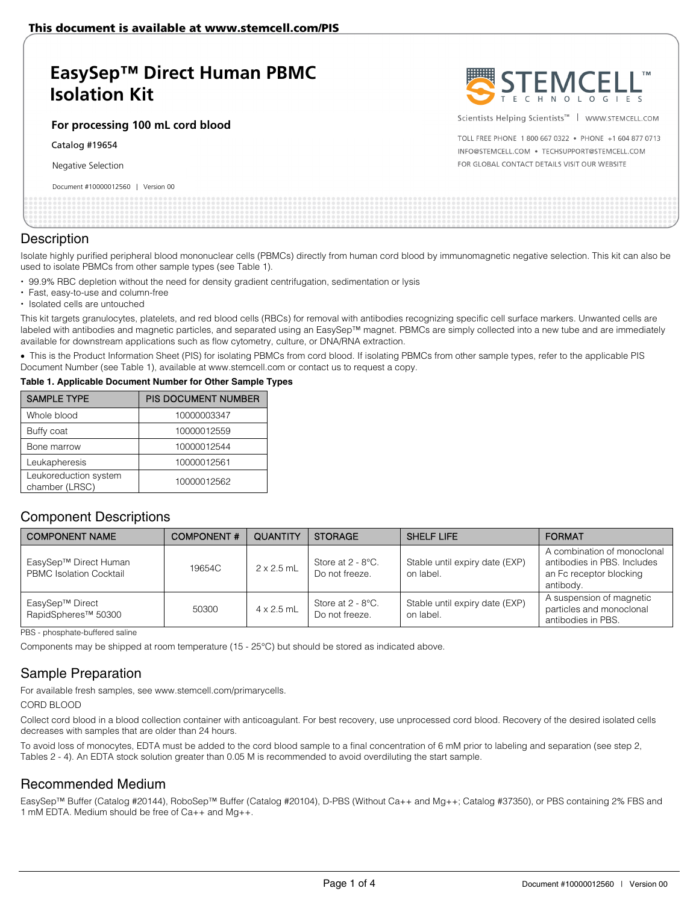# **EasySep™ Direct Human PBMC Isolation Kit**

**For processing 100 mL cord blood**

Catalog #19654

Negative Selection

#### Document #10000012560 | Version 00



Scientists Helping Scientists™ | WWW.STEMCELL.COM

TOLL FREE PHONE 1 800 667 0322 . PHONE +1 604 877 0713 INFO@STEMCELL.COM . TECHSUPPORT@STEMCELL.COM FOR GLOBAL CONTACT DETAILS VISIT OUR WEBSITE

### **Description**

Isolate highly purified peripheral blood mononuclear cells (PBMCs) directly from human cord blood by immunomagnetic negative selection. This kit can also be used to isolate PBMCs from other sample types (see Table 1).

- 99.9% RBC depletion without the need for density gradient centrifugation, sedimentation or lysis
- Fast, easy-to-use and column-free
- Isolated cells are untouched

This kit targets granulocytes, platelets, and red blood cells (RBCs) for removal with antibodies recognizing specific cell surface markers. Unwanted cells are labeled with antibodies and magnetic particles, and separated using an EasySep™ magnet. PBMCs are simply collected into a new tube and are immediately available for downstream applications such as flow cytometry, culture, or DNA/RNA extraction.

• This is the Product Information Sheet (PIS) for isolating PBMCs from cord blood. If isolating PBMCs from other sample types, refer to the applicable PIS Document Number (see Table 1), available at www.stemcell.com or contact us to request a copy.

#### **Table 1. Applicable Document Number for Other Sample Types**

| <b>SAMPLE TYPE</b>                      | PIS DOCUMENT NUMBER |
|-----------------------------------------|---------------------|
| Whole blood                             | 10000003347         |
| Buffy coat                              | 10000012559         |
| Bone marrow                             | 10000012544         |
| Leukapheresis                           | 10000012561         |
| Leukoreduction system<br>chamber (LRSC) | 10000012562         |

### Component Descriptions

| <b>COMPONENT NAME</b>                                   | <b>COMPONENT#</b> | <b>QUANTITY</b>   | <b>STORAGE</b>                                     | <b>SHELF LIFE</b>                           | <b>FORMAT</b>                                                                                      |
|---------------------------------------------------------|-------------------|-------------------|----------------------------------------------------|---------------------------------------------|----------------------------------------------------------------------------------------------------|
| EasySep™ Direct Human<br><b>PBMC Isolation Cocktail</b> | 19654C            | $2 \times 2.5$ mL | Store at $2 - 8$ °C.<br>Do not freeze.             | Stable until expiry date (EXP)<br>on label. | A combination of monoclonal<br>antibodies in PBS. Includes<br>an Fc receptor blocking<br>antibody. |
| EasySep™ Direct<br>RapidSpheres <sup>™</sup> 50300      | 50300             | $4 \times 2.5$ mL | Store at $2 - 8$ <sup>o</sup> C.<br>Do not freeze. | Stable until expiry date (EXP)<br>on label. | A suspension of magnetic<br>particles and monoclonal<br>antibodies in PBS.                         |

PBS - phosphate-buffered saline

Components may be shipped at room temperature (15 - 25°C) but should be stored as indicated above.

# Sample Preparation

For available fresh samples, see www.stemcell.com/primarycells.

#### CORD BLOOD

Collect cord blood in a blood collection container with anticoagulant. For best recovery, use unprocessed cord blood. Recovery of the desired isolated cells decreases with samples that are older than 24 hours.

To avoid loss of monocytes, EDTA must be added to the cord blood sample to a final concentration of 6 mM prior to labeling and separation (see step 2, Tables 2 - 4). An EDTA stock solution greater than 0.05 M is recommended to avoid overdiluting the start sample.

# Recommended Medium

EasySep™ Buffer (Catalog #20144), RoboSep™ Buffer (Catalog #20104), D-PBS (Without Ca++ and Mg++; Catalog #37350), or PBS containing 2% FBS and 1 mM EDTA. Medium should be free of Ca++ and Mg++.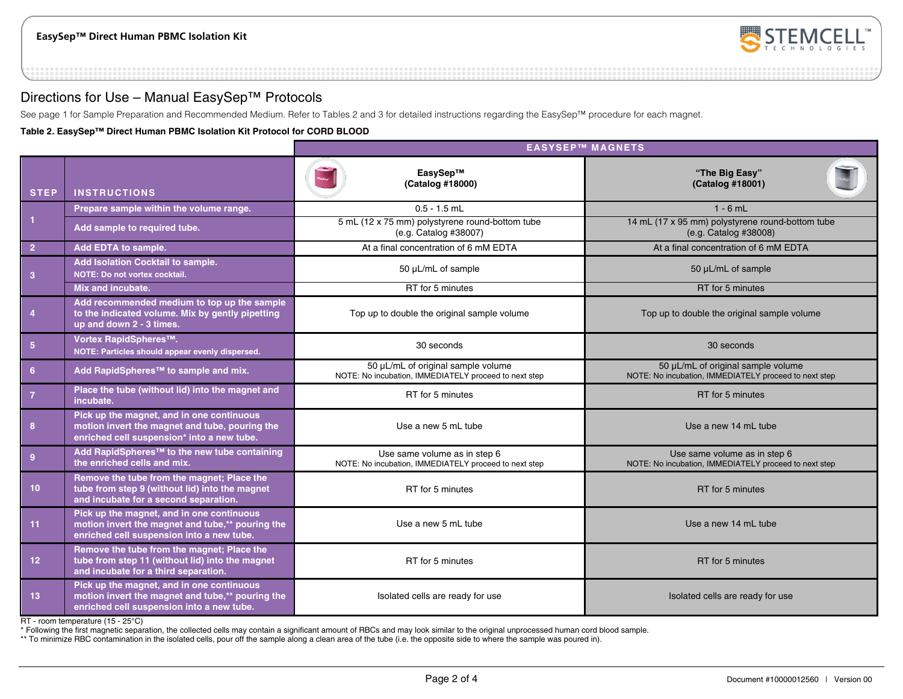

## Directions for Use – Manual EasySep™ Protocols

See page 1 for Sample Preparation and Recommended Medium. Refer to Tables 2 and 3 for detailed instructions regarding the EasySep™ procedure for each magnet.

**Table 2. EasySep™ Direct Human PBMC Isolation Kit Protocol for CORD BLOOD**

|                 |                                                                                                                                            | <b>EASYSEP™ MAGNETS</b>                                                                     |                                                                                             |  |  |
|-----------------|--------------------------------------------------------------------------------------------------------------------------------------------|---------------------------------------------------------------------------------------------|---------------------------------------------------------------------------------------------|--|--|
| <b>STEP</b>     | <b>INSTRUCTIONS</b>                                                                                                                        | EasySep™<br>(Catalog #18000)                                                                | "The Big Easy"<br>(Catalog #18001)                                                          |  |  |
|                 | Prepare sample within the volume range.                                                                                                    | $0.5 - 1.5$ mL                                                                              | $1 - 6$ mL                                                                                  |  |  |
| $\overline{1}$  | Add sample to required tube.                                                                                                               | 5 mL (12 x 75 mm) polystyrene round-bottom tube<br>(e.g. Catalog #38007)                    | 14 mL (17 x 95 mm) polystyrene round-bottom tube<br>(e.g. Catalog #38008)                   |  |  |
| $\overline{2}$  | Add EDTA to sample.                                                                                                                        | At a final concentration of 6 mM EDTA                                                       | At a final concentration of 6 mM EDTA                                                       |  |  |
| 3               | Add Isolation Cocktail to sample.<br>NOTE: Do not vortex cocktail.                                                                         | 50 µL/mL of sample                                                                          | 50 µL/mL of sample                                                                          |  |  |
|                 | Mix and incubate.                                                                                                                          | RT for 5 minutes                                                                            | RT for 5 minutes                                                                            |  |  |
| $\overline{4}$  | Add recommended medium to top up the sample<br>to the indicated volume. Mix by gently pipetting<br>up and down 2 - 3 times.                | Top up to double the original sample volume                                                 | Top up to double the original sample volume                                                 |  |  |
| 5 <sub>5</sub>  | Vortex RapidSpheres™.<br>NOTE: Particles should appear evenly dispersed.                                                                   | 30 seconds                                                                                  | 30 seconds                                                                                  |  |  |
| 6               | Add RapidSpheres <sup>™</sup> to sample and mix.                                                                                           | 50 µL/mL of original sample volume<br>NOTE: No incubation, IMMEDIATELY proceed to next step | 50 µL/mL of original sample volume<br>NOTE: No incubation, IMMEDIATELY proceed to next step |  |  |
| $\overline{7}$  | Place the tube (without lid) into the magnet and<br>incubate.                                                                              | RT for 5 minutes                                                                            | RT for 5 minutes                                                                            |  |  |
| 8               | Pick up the magnet, and in one continuous<br>motion invert the magnet and tube, pouring the<br>enriched cell suspension* into a new tube.  | Use a new 5 mL tube                                                                         | Use a new 14 mL tube                                                                        |  |  |
| 9               | Add RapidSpheres <sup>™</sup> to the new tube containing<br>the enriched cells and mix.                                                    | Use same volume as in step 6<br>NOTE: No incubation, IMMEDIATELY proceed to next step       | Use same volume as in step 6<br>NOTE: No incubation, IMMEDIATELY proceed to next step       |  |  |
| 10 <sub>1</sub> | Remove the tube from the magnet; Place the<br>tube from step 9 (without lid) into the magnet<br>and incubate for a second separation.      | RT for 5 minutes                                                                            | RT for 5 minutes                                                                            |  |  |
| 11              | Pick up the magnet, and in one continuous<br>motion invert the magnet and tube,** pouring the<br>enriched cell suspension into a new tube. | Use a new 5 mL tube                                                                         | Use a new 14 mL tube                                                                        |  |  |
| 12              | Remove the tube from the magnet; Place the<br>tube from step 11 (without lid) into the magnet<br>and incubate for a third separation.      | RT for 5 minutes                                                                            | RT for 5 minutes                                                                            |  |  |
| 13              | Pick up the magnet, and in one continuous<br>motion invert the magnet and tube,** pouring the<br>enriched cell suspension into a new tube. | Isolated cells are ready for use                                                            | Isolated cells are ready for use                                                            |  |  |

RT - room temperature (15 - 25°C)

\* Following the first magnetic separation, the collected cells may contain a significant amount of RBCs and may look similar to the original unprocessed human cord blood sample.

\*\* To minimize RBC contamination in the isolated cells, pour off the sample along a clean area of the tube (i.e. the opposite side to where the sample was poured in).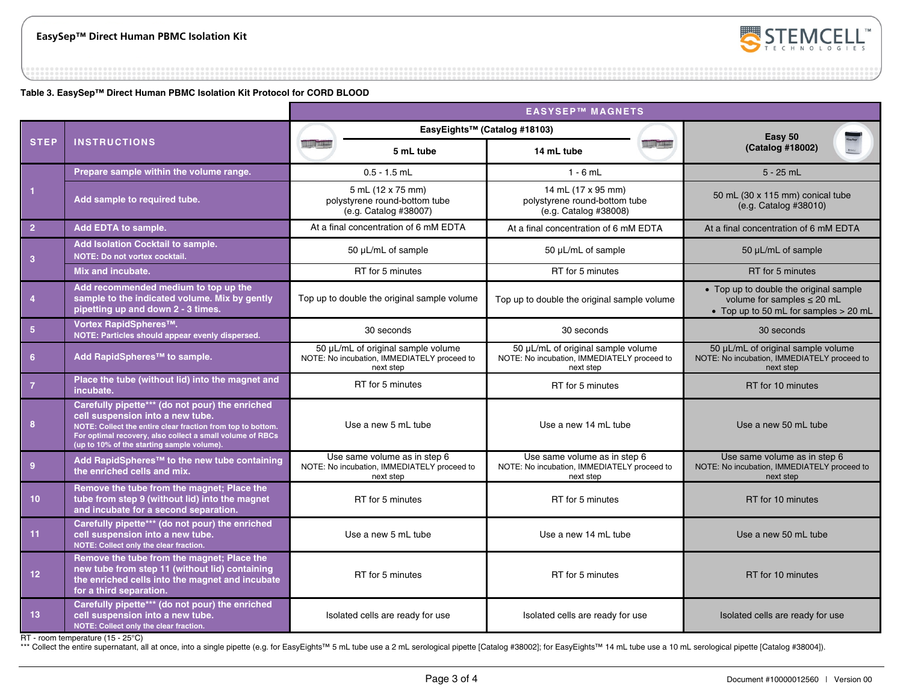

**Table 3. EasySep™ Direct Human PBMC Isolation Kit Protocol for CORD BLOOD**

|                 |                                                                                                                                                                                                                                                               | <b>EASYSEP™ MAGNETS</b>                                                                        |                                                                                                |                                                                                                                      |
|-----------------|---------------------------------------------------------------------------------------------------------------------------------------------------------------------------------------------------------------------------------------------------------------|------------------------------------------------------------------------------------------------|------------------------------------------------------------------------------------------------|----------------------------------------------------------------------------------------------------------------------|
|                 |                                                                                                                                                                                                                                                               |                                                                                                | EasyEights™ (Catalog #18103)                                                                   | Easy 50<br>(Catalog #18002)                                                                                          |
| <b>STEP</b>     | <b>INSTRUCTIONS</b>                                                                                                                                                                                                                                           | 5 mL tube                                                                                      | <b>HALL THERE</b><br>14 mL tube                                                                |                                                                                                                      |
| $\overline{1}$  | Prepare sample within the volume range.                                                                                                                                                                                                                       | $0.5 - 1.5$ mL                                                                                 | $1 - 6$ mL                                                                                     | $5 - 25$ mL                                                                                                          |
|                 | Add sample to required tube.                                                                                                                                                                                                                                  | 5 mL (12 x 75 mm)<br>polystyrene round-bottom tube<br>(e.g. Catalog #38007)                    | 14 mL (17 x 95 mm)<br>polystyrene round-bottom tube<br>(e.g. Catalog #38008)                   | 50 mL (30 x 115 mm) conical tube<br>(e.g. Catalog #38010)                                                            |
| $\overline{2}$  | Add EDTA to sample.                                                                                                                                                                                                                                           | At a final concentration of 6 mM EDTA                                                          | At a final concentration of 6 mM EDTA                                                          | At a final concentration of 6 mM EDTA                                                                                |
| $\overline{3}$  | Add Isolation Cocktail to sample.<br>NOTE: Do not vortex cocktail.                                                                                                                                                                                            | 50 µL/mL of sample                                                                             | 50 µL/mL of sample                                                                             | 50 µL/mL of sample                                                                                                   |
|                 | Mix and incubate.                                                                                                                                                                                                                                             | RT for 5 minutes                                                                               | RT for 5 minutes                                                                               | RT for 5 minutes                                                                                                     |
| $\overline{4}$  | Add recommended medium to top up the<br>sample to the indicated volume. Mix by gently<br>pipetting up and down 2 - 3 times.                                                                                                                                   | Top up to double the original sample volume                                                    | Top up to double the original sample volume                                                    | • Top up to double the original sample<br>volume for samples $\leq$ 20 mL<br>• Top up to 50 mL for samples $> 20$ mL |
| 5 <sub>5</sub>  | Vortex RapidSpheres™.<br>NOTE: Particles should appear evenly dispersed.                                                                                                                                                                                      | 30 seconds                                                                                     | 30 seconds                                                                                     | 30 seconds                                                                                                           |
| 6 <sup>6</sup>  | Add RapidSpheres™ to sample.                                                                                                                                                                                                                                  | 50 µL/mL of original sample volume<br>NOTE: No incubation, IMMEDIATELY proceed to<br>next step | 50 µL/mL of original sample volume<br>NOTE: No incubation, IMMEDIATELY proceed to<br>next step | 50 µL/mL of original sample volume<br>NOTE: No incubation, IMMEDIATELY proceed to<br>next step                       |
| $\overline{7}$  | Place the tube (without lid) into the magnet and<br>incubate.                                                                                                                                                                                                 | RT for 5 minutes                                                                               | RT for 5 minutes                                                                               | RT for 10 minutes                                                                                                    |
| 8               | Carefully pipette*** (do not pour) the enriched<br>cell suspension into a new tube.<br>NOTE: Collect the entire clear fraction from top to bottom.<br>For optimal recovery, also collect a small volume of RBCs<br>(up to 10% of the starting sample volume). | Use a new 5 mL tube                                                                            | Use a new 14 mL tube                                                                           | Use a new 50 mL tube                                                                                                 |
| 9               | Add RapidSpheres™ to the new tube containing<br>the enriched cells and mix.                                                                                                                                                                                   | Use same volume as in step 6<br>NOTE: No incubation, IMMEDIATELY proceed to<br>next step       | Use same volume as in step 6<br>NOTE: No incubation, IMMEDIATELY proceed to<br>next step       | Use same volume as in step 6<br>NOTE: No incubation, IMMEDIATELY proceed to<br>next step                             |
| 10 <sup>°</sup> | Remove the tube from the magnet; Place the<br>tube from step 9 (without lid) into the magnet<br>and incubate for a second separation.                                                                                                                         | RT for 5 minutes                                                                               | RT for 5 minutes                                                                               | RT for 10 minutes                                                                                                    |
| 11              | Carefully pipette*** (do not pour) the enriched<br>cell suspension into a new tube.<br>NOTE: Collect only the clear fraction.                                                                                                                                 | Use a new 5 mL tube                                                                            | Use a new 14 mL tube                                                                           | Use a new 50 mL tube                                                                                                 |
| 12 <sub>2</sub> | Remove the tube from the magnet; Place the<br>new tube from step 11 (without lid) containing<br>the enriched cells into the magnet and incubate<br>for a third separation.                                                                                    | RT for 5 minutes                                                                               | RT for 5 minutes                                                                               | RT for 10 minutes                                                                                                    |
| 13              | Carefully pipette*** (do not pour) the enriched<br>cell suspension into a new tube.<br>NOTE: Collect only the clear fraction.                                                                                                                                 | Isolated cells are ready for use                                                               | Isolated cells are ready for use                                                               | Isolated cells are ready for use                                                                                     |

RT - room temperature (15 - 25°C)

\*\*\* Collect the entire supernatant, all at once, into a single pipette (e.g. for EasyEights™ 5 mL tube use a 2 mL serological pipette [Catalog #38002]; for EasyEights™ 14 mL tube use a 10 mL serological pipette [Catalog #3